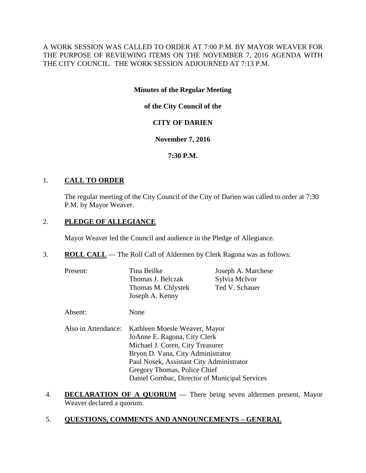A WORK SESSION WAS CALLED TO ORDER AT 7:00 P.M. BY MAYOR WEAVER FOR THE PURPOSE OF REVIEWING ITEMS ON THE NOVEMBER 7, 2016 AGENDA WITH THE CITY COUNCIL. THE WORK SESSION ADJOURNED AT 7:13 P.M.

# **Minutes of the Regular Meeting**

**of the City Council of the**

# **CITY OF DARIEN**

## **November 7, 2016**

# **7:30 P.M.**

# 1. **CALL TO ORDER**

The regular meeting of the City Council of the City of Darien was called to order at 7:30 P.M. by Mayor Weaver.

# 2. **PLEDGE OF ALLEGIANCE**

Mayor Weaver led the Council and audience in the Pledge of Allegiance.

- 3. **ROLL CALL** The Roll Call of Aldermen by Clerk Ragona was as follows:
	- Present: Tina Beilke Joseph A. Marchese Thomas J. Belczak Sylvia McIvor Thomas M. Chlystek Ted V. Schauer Joseph A. Kenny
	- Absent: None
	- Also in Attendance: Kathleen Moesle Weaver, Mayor JoAnne E. Ragona, City Clerk Michael J. Coren, City Treasurer Bryon D. Vana, City Administrator Paul Nosek, Assistant City Administrator Gregory Thomas, Police Chief Daniel Gombac, Director of Municipal Services
- 4. **DECLARATION OF A QUORUM** There being seven aldermen present, Mayor Weaver declared a quorum.
- 5. **QUESTIONS, COMMENTS AND ANNOUNCEMENTS – GENERAL**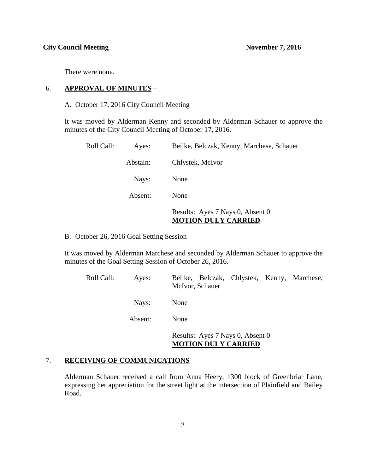There were none.

#### 6. **APPROVAL OF MINUTES** –

A. October 17, 2016 City Council Meeting

It was moved by Alderman Kenny and seconded by Alderman Schauer to approve the minutes of the City Council Meeting of October 17, 2016.

| Roll Call: | Ayes:    | Beilke, Belczak, Kenny, Marchese, Schauer |
|------------|----------|-------------------------------------------|
|            | Abstain: | Chlystek, McIvor                          |
|            | Nays:    | None                                      |
|            | Absent:  | None                                      |
|            |          | Results: Ayes 7 Nays 0, Absent 0          |

# **MOTION DULY CARRIED**

B. October 26, 2016 Goal Setting Session

It was moved by Alderman Marchese and seconded by Alderman Schauer to approve the minutes of the Goal Setting Session of October 26, 2016.

| Roll Call: | Ayes:   | Beilke, Belczak, Chlystek, Kenny, Marchese,<br>McIvor, Schauer |
|------------|---------|----------------------------------------------------------------|
|            | Nays:   | None                                                           |
|            | Absent: | None                                                           |
|            |         | Results: Ayes 7 Nays 0, Absent 0                               |

#### **MOTION DULY CARRIED**

#### 7. **RECEIVING OF COMMUNICATIONS**

Alderman Schauer received a call from Anna Heery, 1300 block of Greenbriar Lane, expressing her appreciation for the street light at the intersection of Plainfield and Bailey Road.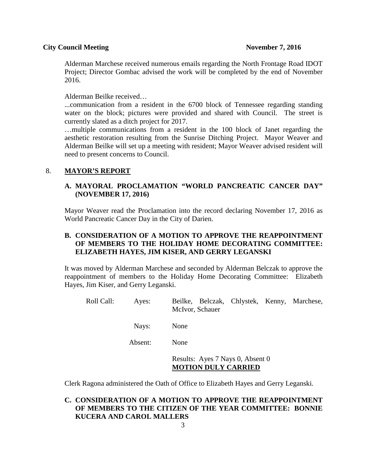Alderman Marchese received numerous emails regarding the North Frontage Road IDOT Project; Director Gombac advised the work will be completed by the end of November 2016.

Alderman Beilke received…

...communication from a resident in the 6700 block of Tennessee regarding standing water on the block; pictures were provided and shared with Council. The street is currently slated as a ditch project for 2017.

…multiple communications from a resident in the 100 block of Janet regarding the aesthetic restoration resulting from the Sunrise Ditching Project. Mayor Weaver and Alderman Beilke will set up a meeting with resident; Mayor Weaver advised resident will need to present concerns to Council.

## 8. **MAYOR'S REPORT**

# **A. MAYORAL PROCLAMATION "WORLD PANCREATIC CANCER DAY" (NOVEMBER 17, 2016)**

Mayor Weaver read the Proclamation into the record declaring November 17, 2016 as World Pancreatic Cancer Day in the City of Darien.

# **B. CONSIDERATION OF A MOTION TO APPROVE THE REAPPOINTMENT OF MEMBERS TO THE HOLIDAY HOME DECORATING COMMITTEE: ELIZABETH HAYES, JIM KISER, AND GERRY LEGANSKI**

It was moved by Alderman Marchese and seconded by Alderman Belczak to approve the reappointment of members to the Holiday Home Decorating Committee: Elizabeth Hayes, Jim Kiser, and Gerry Leganski.

Roll Call: Ayes: Beilke, Belczak, Chlystek, Kenny, Marchese, McIvor, Schauer

Nays: None

Absent: None

Results: Ayes 7 Nays 0, Absent 0 **MOTION DULY CARRIED**

Clerk Ragona administered the Oath of Office to Elizabeth Hayes and Gerry Leganski.

# **C. CONSIDERATION OF A MOTION TO APPROVE THE REAPPOINTMENT OF MEMBERS TO THE CITIZEN OF THE YEAR COMMITTEE: BONNIE KUCERA AND CAROL MALLERS**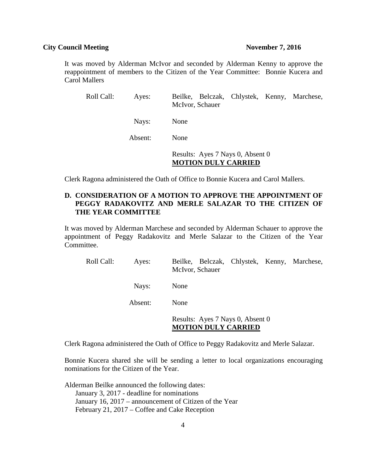It was moved by Alderman McIvor and seconded by Alderman Kenny to approve the reappointment of members to the Citizen of the Year Committee: Bonnie Kucera and Carol Mallers

| Roll Call: | Ayes:   | Beilke, Belczak, Chlystek, Kenny, Marchese,<br>McIvor, Schauer |
|------------|---------|----------------------------------------------------------------|
|            | Nays:   | None                                                           |
|            | Absent: | None                                                           |
|            |         | Results: Ayes 7 Nays 0, Absent 0                               |

# **MOTION DULY CARRIED**

Clerk Ragona administered the Oath of Office to Bonnie Kucera and Carol Mallers.

# **D. CONSIDERATION OF A MOTION TO APPROVE THE APPOINTMENT OF PEGGY RADAKOVITZ AND MERLE SALAZAR TO THE CITIZEN OF THE YEAR COMMITTEE**

It was moved by Alderman Marchese and seconded by Alderman Schauer to approve the appointment of Peggy Radakovitz and Merle Salazar to the Citizen of the Year Committee.

| Roll Call: | Ayes:   | Beilke, Belczak, Chlystek, Kenny, Marchese,<br>McIvor, Schauer |
|------------|---------|----------------------------------------------------------------|
|            | Nays:   | None                                                           |
|            | Absent: | None                                                           |
|            |         | Results: Ayes 7 Nays 0, Absent 0<br><b>MOTION DULY CARRIED</b> |

Clerk Ragona administered the Oath of Office to Peggy Radakovitz and Merle Salazar.

Bonnie Kucera shared she will be sending a letter to local organizations encouraging nominations for the Citizen of the Year.

Alderman Beilke announced the following dates: January 3, 2017 - deadline for nominations January 16, 2017 – announcement of Citizen of the Year February 21, 2017 – Coffee and Cake Reception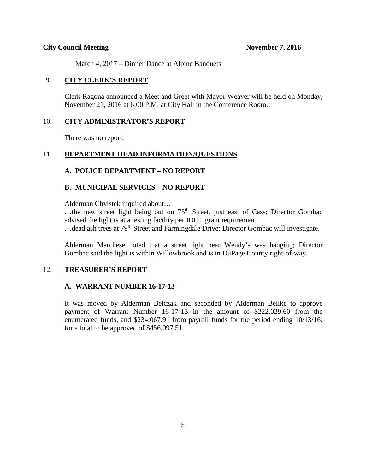March 4, 2017 – Dinner Dance at Alpine Banquets

### 9. **CITY CLERK'S REPORT**

Clerk Ragona announced a Meet and Greet with Mayor Weaver will be held on Monday, November 21, 2016 at 6:00 P.M. at City Hall in the Conference Room.

#### 10. **CITY ADMINISTRATOR'S REPORT**

There was no report.

### 11. **DEPARTMENT HEAD INFORMATION/QUESTIONS**

### **A. POLICE DEPARTMENT – NO REPORT**

### **B. MUNICIPAL SERVICES – NO REPORT**

Alderman Chylstek inquired about…

...the new street light being out on  $75<sup>th</sup>$  Street, just east of Cass; Director Gombac advised the light is at a testing facility per IDOT grant requirement. ... dead ash trees at 79<sup>th</sup> Street and Farmingdale Drive; Director Gombac will investigate.

Alderman Marchese noted that a street light near Wendy's was hanging; Director Gombac said the light is within Willowbrook and is in DuPage County right-of-way.

#### 12. **TREASURER'S REPORT**

### **A. WARRANT NUMBER 16-17-13**

It was moved by Alderman Belczak and seconded by Alderman Beilke to approve payment of Warrant Number 16-17-13 in the amount of \$222,029.60 from the enumerated funds, and \$234,067.91 from payroll funds for the period ending 10/13/16; for a total to be approved of \$456,097.51.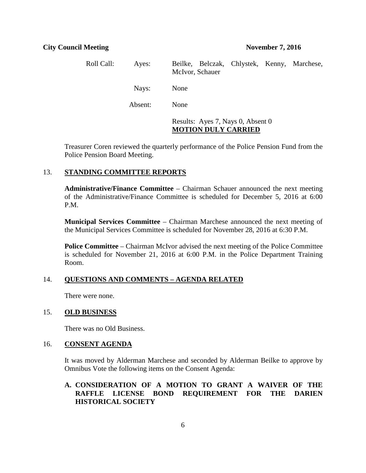| Roll Call: | Ayes:   | Beilke, Belczak, Chlystek, Kenny, Marchese,<br>McIvor, Schauer  |
|------------|---------|-----------------------------------------------------------------|
|            | Nays:   | None                                                            |
|            | Absent: | None                                                            |
|            |         | Results: Ayes 7, Nays 0, Absent 0<br><b>MOTION DULY CARRIED</b> |

Treasurer Coren reviewed the quarterly performance of the Police Pension Fund from the Police Pension Board Meeting.

#### 13. **STANDING COMMITTEE REPORTS**

**Administrative/Finance Committee** – Chairman Schauer announced the next meeting of the Administrative/Finance Committee is scheduled for December 5, 2016 at 6:00 P.M.

**Municipal Services Committee** – Chairman Marchese announced the next meeting of the Municipal Services Committee is scheduled for November 28, 2016 at 6:30 P.M.

**Police Committee** – Chairman McIvor advised the next meeting of the Police Committee is scheduled for November 21, 2016 at 6:00 P.M. in the Police Department Training Room.

# 14. **QUESTIONS AND COMMENTS – AGENDA RELATED**

There were none.

#### 15. **OLD BUSINESS**

There was no Old Business.

#### 16. **CONSENT AGENDA**

It was moved by Alderman Marchese and seconded by Alderman Beilke to approve by Omnibus Vote the following items on the Consent Agenda:

# **A. CONSIDERATION OF A MOTION TO GRANT A WAIVER OF THE RAFFLE LICENSE BOND REQUIREMENT FOR THE DARIEN HISTORICAL SOCIETY**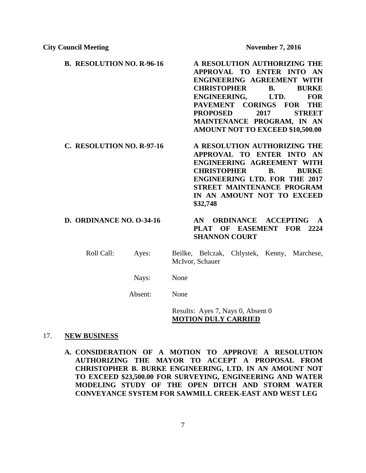- **B. RESOLUTION NO. R-96-16 A RESOLUTION AUTHORIZING THE APPROVAL TO ENTER INTO AN ENGINEERING AGREEMENT WITH CHRISTOPHER B. BURKE ENGINEERING, LTD. FOR PAVEMENT CORINGS FOR THE PROPOSED 2017 STREET MAINTENANCE PROGRAM, IN AN AMOUNT NOT TO EXCEED \$10,500.00**
- **C. RESOLUTION NO. R-97-16 A RESOLUTION AUTHORIZING THE APPROVAL TO ENTER INTO AN ENGINEERING AGREEMENT WITH CHRISTOPHER B. BURKE ENGINEERING LTD. FOR THE 2017 STREET MAINTENANCE PROGRAM IN AN AMOUNT NOT TO EXCEED \$32,748**

# **D. ORDINANCE NO. O-34-16 AN ORDINANCE ACCEPTING A PLAT OF EASEMENT FOR 2224 SHANNON COURT**

Roll Call: Ayes: Beilke, Belczak, Chlystek, Kenny, Marchese, McIvor, Schauer

Nays: None

Absent: None

Results: Ayes 7, Nays 0, Absent 0 **MOTION DULY CARRIED**

#### 17. **NEW BUSINESS**

**A. CONSIDERATION OF A MOTION TO APPROVE A RESOLUTION AUTHORIZING THE MAYOR TO ACCEPT A PROPOSAL FROM CHRISTOPHER B. BURKE ENGINEERING, LTD. IN AN AMOUNT NOT TO EXCEED \$23,500.00 FOR SURVEYING, ENGINEERING AND WATER MODELING STUDY OF THE OPEN DITCH AND STORM WATER CONVEYANCE SYSTEM FOR SAWMILL CREEK-EAST AND WEST LEG**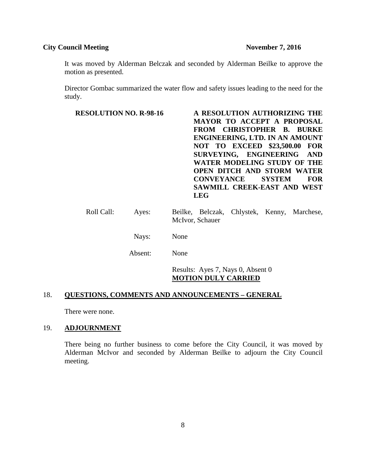It was moved by Alderman Belczak and seconded by Alderman Beilke to approve the motion as presented.

Director Gombac summarized the water flow and safety issues leading to the need for the study.

| <b>RESOLUTION NO. R-98-16</b> | A RESOLUTION AUTHORIZING THE<br><b>MAYOR TO ACCEPT A PROPOSAL</b><br>FROM CHRISTOPHER B. BURKE<br>ENGINEERING, LTD. IN AN AMOUNT<br><b>NOT TO EXCEED \$23,500.00 FOR</b><br>SURVEYING, ENGINEERING AND<br>WATER MODELING STUDY OF THE<br><b>OPEN DITCH AND STORM WATER</b><br><b>CONVEYANCE</b><br><b>SYSTEM</b><br><b>FOR</b><br>SAWMILL CREEK-EAST AND WEST<br><b>LEG</b> |
|-------------------------------|-----------------------------------------------------------------------------------------------------------------------------------------------------------------------------------------------------------------------------------------------------------------------------------------------------------------------------------------------------------------------------|
| Roll Call:<br>Ayes:           | Beilke, Belczak, Chlystek, Kenny, Marchese,<br>McIvor, Schauer                                                                                                                                                                                                                                                                                                              |
| Nays:                         | None                                                                                                                                                                                                                                                                                                                                                                        |
| Absent:                       | None                                                                                                                                                                                                                                                                                                                                                                        |
|                               | Results: Ayes 7, Nays 0, Absent 0                                                                                                                                                                                                                                                                                                                                           |

## **MOTION DULY CARRIED**

# 18. **QUESTIONS, COMMENTS AND ANNOUNCEMENTS – GENERAL**

There were none.

# 19. **ADJOURNMENT**

There being no further business to come before the City Council, it was moved by Alderman McIvor and seconded by Alderman Beilke to adjourn the City Council meeting.